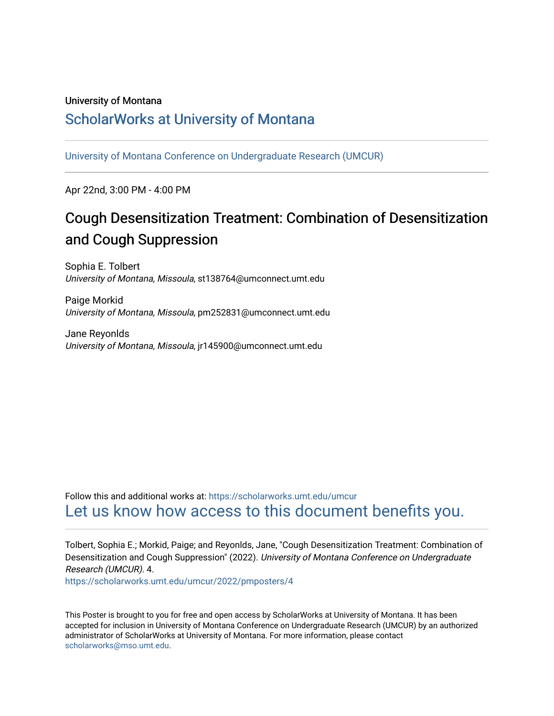### University of Montana

## [ScholarWorks at University of Montana](https://scholarworks.umt.edu/)

[University of Montana Conference on Undergraduate Research \(UMCUR\)](https://scholarworks.umt.edu/umcur)

Apr 22nd, 3:00 PM - 4:00 PM

## Cough Desensitization Treatment: Combination of Desensitization and Cough Suppression

Sophia E. Tolbert University of Montana, Missoula, st138764@umconnect.umt.edu

Paige Morkid University of Montana, Missoula, pm252831@umconnect.umt.edu

Jane Reyonlds University of Montana, Missoula, jr145900@umconnect.umt.edu

Follow this and additional works at: [https://scholarworks.umt.edu/umcur](https://scholarworks.umt.edu/umcur?utm_source=scholarworks.umt.edu%2Fumcur%2F2022%2Fpmposters%2F4&utm_medium=PDF&utm_campaign=PDFCoverPages)  [Let us know how access to this document benefits you.](https://goo.gl/forms/s2rGfXOLzz71qgsB2) 

Tolbert, Sophia E.; Morkid, Paige; and Reyonlds, Jane, "Cough Desensitization Treatment: Combination of Desensitization and Cough Suppression" (2022). University of Montana Conference on Undergraduate Research (UMCUR). 4.

[https://scholarworks.umt.edu/umcur/2022/pmposters/4](https://scholarworks.umt.edu/umcur/2022/pmposters/4?utm_source=scholarworks.umt.edu%2Fumcur%2F2022%2Fpmposters%2F4&utm_medium=PDF&utm_campaign=PDFCoverPages)

This Poster is brought to you for free and open access by ScholarWorks at University of Montana. It has been accepted for inclusion in University of Montana Conference on Undergraduate Research (UMCUR) by an authorized administrator of ScholarWorks at University of Montana. For more information, please contact [scholarworks@mso.umt.edu.](mailto:scholarworks@mso.umt.edu)